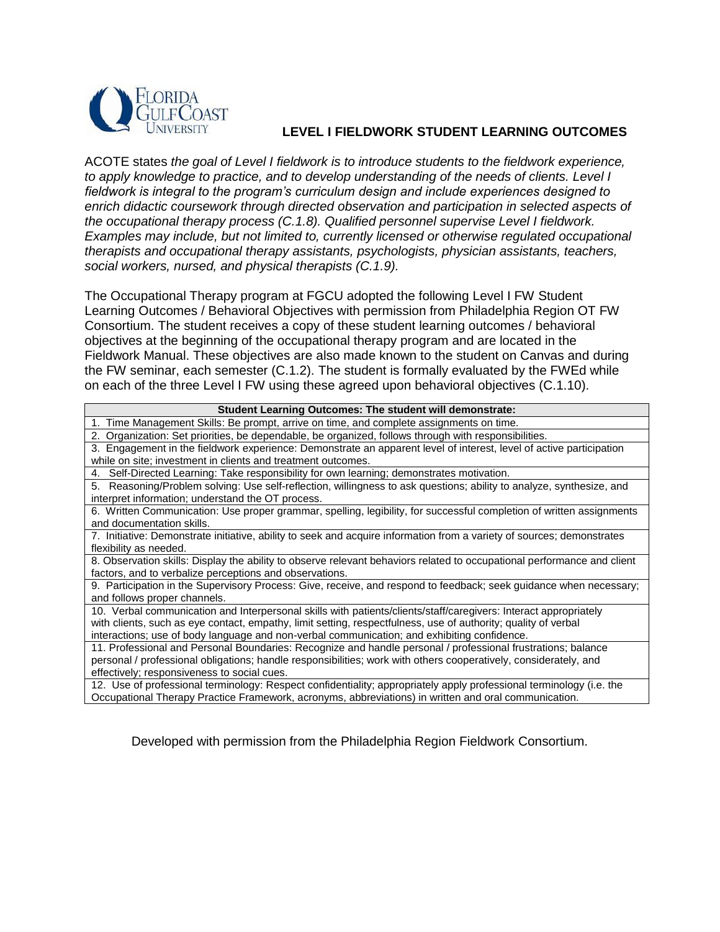

## **LEVEL I FIELDWORK STUDENT LEARNING OUTCOMES**

ACOTE states *the goal of Level I fieldwork is to introduce students to the fieldwork experience, to apply knowledge to practice, and to develop understanding of the needs of clients. Level I fieldwork is integral to the program's curriculum design and include experiences designed to enrich didactic coursework through directed observation and participation in selected aspects of the occupational therapy process (C.1.8). Qualified personnel supervise Level I fieldwork. Examples may include, but not limited to, currently licensed or otherwise regulated occupational therapists and occupational therapy assistants, psychologists, physician assistants, teachers, social workers, nursed, and physical therapists (C.1.9).*

The Occupational Therapy program at FGCU adopted the following Level I FW Student Learning Outcomes / Behavioral Objectives with permission from Philadelphia Region OT FW Consortium. The student receives a copy of these student learning outcomes / behavioral objectives at the beginning of the occupational therapy program and are located in the Fieldwork Manual. These objectives are also made known to the student on Canvas and during the FW seminar, each semester (C.1.2). The student is formally evaluated by the FWEd while on each of the three Level I FW using these agreed upon behavioral objectives (C.1.10).

| Student Learning Outcomes: The student will demonstrate:                                                                |
|-------------------------------------------------------------------------------------------------------------------------|
| 1. Time Management Skills: Be prompt, arrive on time, and complete assignments on time.                                 |
| Organization: Set priorities, be dependable, be organized, follows through with responsibilities.<br>2.                 |
| 3. Engagement in the fieldwork experience: Demonstrate an apparent level of interest, level of active participation     |
| while on site; investment in clients and treatment outcomes.                                                            |
| 4. Self-Directed Learning: Take responsibility for own learning; demonstrates motivation.                               |
| 5. Reasoning/Problem solving: Use self-reflection, willingness to ask questions; ability to analyze, synthesize, and    |
| interpret information; understand the OT process.                                                                       |
| 6. Written Communication: Use proper grammar, spelling, legibility, for successful completion of written assignments    |
| and documentation skills.                                                                                               |
| 7. Initiative: Demonstrate initiative, ability to seek and acquire information from a variety of sources; demonstrates  |
| flexibility as needed.                                                                                                  |
| 8. Observation skills: Display the ability to observe relevant behaviors related to occupational performance and client |
| factors, and to verbalize perceptions and observations.                                                                 |
| 9. Participation in the Supervisory Process: Give, receive, and respond to feedback; seek guidance when necessary;      |
| and follows proper channels.                                                                                            |
| 10. Verbal communication and Interpersonal skills with patients/clients/staff/caregivers: Interact appropriately        |
| with clients, such as eye contact, empathy, limit setting, respectfulness, use of authority; quality of verbal          |
| interactions; use of body language and non-verbal communication; and exhibiting confidence.                             |
| 11. Professional and Personal Boundaries: Recognize and handle personal / professional frustrations; balance            |
| personal / professional obligations; handle responsibilities; work with others cooperatively, considerately, and        |
| effectively; responsiveness to social cues.                                                                             |
| 12. Use of professional terminology: Respect confidentiality; appropriately apply professional terminology (i.e. the    |

Occupational Therapy Practice Framework, acronyms, abbreviations) in written and oral communication.

Developed with permission from the Philadelphia Region Fieldwork Consortium.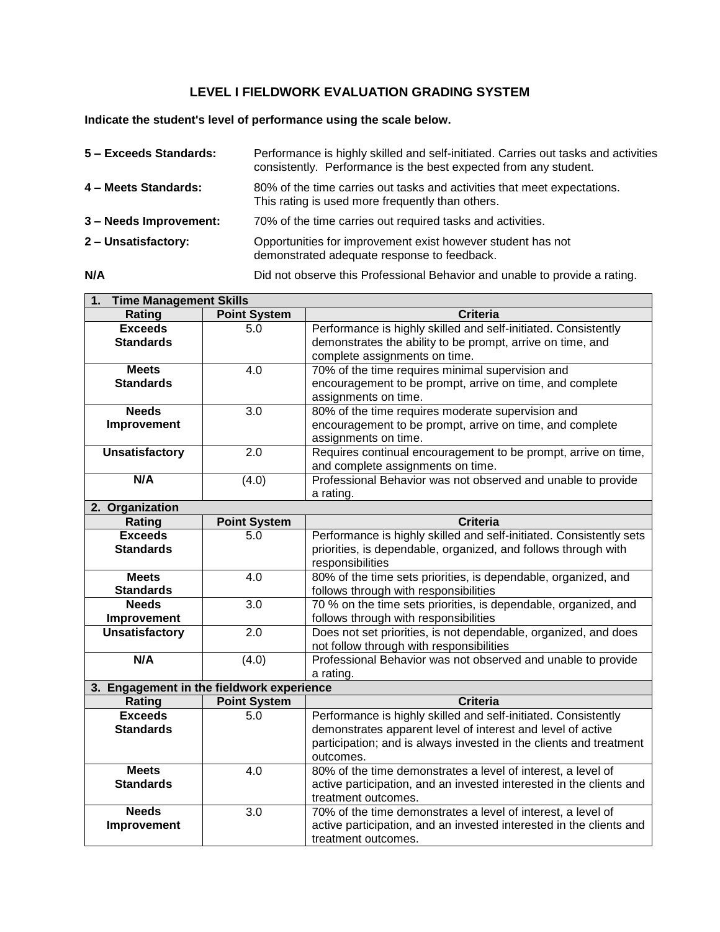## **LEVEL I FIELDWORK EVALUATION GRADING SYSTEM**

**Indicate the student's level of performance using the scale below.** 

| 5 - Exceeds Standards: | Performance is highly skilled and self-initiated. Carries out tasks and activities<br>consistently. Performance is the best expected from any student. |
|------------------------|--------------------------------------------------------------------------------------------------------------------------------------------------------|
| 4 - Meets Standards:   | 80% of the time carries out tasks and activities that meet expectations.<br>This rating is used more frequently than others.                           |
| 3 - Needs Improvement: | 70% of the time carries out required tasks and activities.                                                                                             |
| 2 - Unsatisfactory:    | Opportunities for improvement exist however student has not<br>demonstrated adequate response to feedback.                                             |

**N/A** Did not observe this Professional Behavior and unable to provide a rating.

| 1. Time Management Skills                 |                     |                                                                     |
|-------------------------------------------|---------------------|---------------------------------------------------------------------|
| Rating                                    | <b>Point System</b> | <b>Criteria</b>                                                     |
| <b>Exceeds</b>                            | 5.0                 | Performance is highly skilled and self-initiated. Consistently      |
| <b>Standards</b>                          |                     | demonstrates the ability to be prompt, arrive on time, and          |
|                                           |                     | complete assignments on time.                                       |
| <b>Meets</b>                              | 4.0                 | 70% of the time requires minimal supervision and                    |
| <b>Standards</b>                          |                     | encouragement to be prompt, arrive on time, and complete            |
|                                           |                     | assignments on time.                                                |
| <b>Needs</b>                              | 3.0                 | 80% of the time requires moderate supervision and                   |
| Improvement                               |                     | encouragement to be prompt, arrive on time, and complete            |
|                                           |                     | assignments on time.                                                |
| <b>Unsatisfactory</b>                     | 2.0                 | Requires continual encouragement to be prompt, arrive on time,      |
|                                           |                     | and complete assignments on time.                                   |
| N/A                                       | (4.0)               | Professional Behavior was not observed and unable to provide        |
|                                           |                     | a rating.                                                           |
| 2. Organization                           |                     |                                                                     |
| Rating                                    | <b>Point System</b> | <b>Criteria</b>                                                     |
| <b>Exceeds</b>                            | 5.0                 | Performance is highly skilled and self-initiated. Consistently sets |
| <b>Standards</b>                          |                     | priorities, is dependable, organized, and follows through with      |
|                                           |                     | responsibilities                                                    |
| <b>Meets</b>                              | 4.0                 | 80% of the time sets priorities, is dependable, organized, and      |
| <b>Standards</b>                          |                     | follows through with responsibilities                               |
| <b>Needs</b>                              | 3.0                 | 70 % on the time sets priorities, is dependable, organized, and     |
| Improvement                               |                     | follows through with responsibilities                               |
| <b>Unsatisfactory</b>                     | 2.0                 | Does not set priorities, is not dependable, organized, and does     |
|                                           |                     | not follow through with responsibilities                            |
| N/A                                       | (4.0)               | Professional Behavior was not observed and unable to provide        |
|                                           |                     | a rating.                                                           |
| 3. Engagement in the fieldwork experience |                     |                                                                     |
| Rating                                    | <b>Point System</b> | <b>Criteria</b>                                                     |
| <b>Exceeds</b>                            | 5.0                 | Performance is highly skilled and self-initiated. Consistently      |
| <b>Standards</b>                          |                     | demonstrates apparent level of interest and level of active         |
|                                           |                     | participation; and is always invested in the clients and treatment  |
|                                           |                     | outcomes.                                                           |
| <b>Meets</b>                              | 4.0                 | 80% of the time demonstrates a level of interest, a level of        |
| <b>Standards</b>                          |                     | active participation, and an invested interested in the clients and |
|                                           |                     | treatment outcomes.                                                 |
| <b>Needs</b>                              | 3.0                 | 70% of the time demonstrates a level of interest, a level of        |
| Improvement                               |                     | active participation, and an invested interested in the clients and |
|                                           |                     | treatment outcomes.                                                 |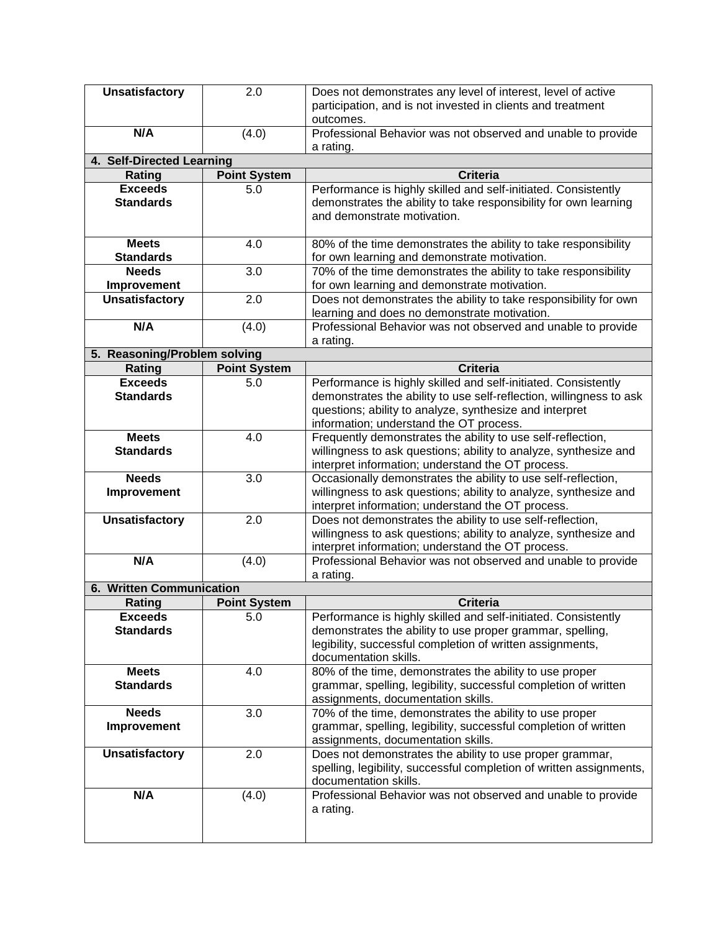|                              | 2.0                 | Does not demonstrates any level of interest, level of active                                                       |
|------------------------------|---------------------|--------------------------------------------------------------------------------------------------------------------|
|                              |                     | participation, and is not invested in clients and treatment                                                        |
|                              |                     | outcomes.                                                                                                          |
| N/A                          | (4.0)               | Professional Behavior was not observed and unable to provide                                                       |
|                              |                     | a rating.                                                                                                          |
| 4. Self-Directed Learning    |                     |                                                                                                                    |
| Rating                       | <b>Point System</b> | Criteria                                                                                                           |
| <b>Exceeds</b>               | 5.0                 | Performance is highly skilled and self-initiated. Consistently                                                     |
| <b>Standards</b>             |                     | demonstrates the ability to take responsibility for own learning<br>and demonstrate motivation.                    |
|                              |                     |                                                                                                                    |
| <b>Meets</b>                 | 4.0                 | 80% of the time demonstrates the ability to take responsibility                                                    |
| <b>Standards</b>             |                     | for own learning and demonstrate motivation.                                                                       |
| <b>Needs</b>                 | 3.0                 | 70% of the time demonstrates the ability to take responsibility                                                    |
| Improvement                  |                     | for own learning and demonstrate motivation.                                                                       |
| <b>Unsatisfactory</b>        | 2.0                 | Does not demonstrates the ability to take responsibility for own                                                   |
|                              |                     | learning and does no demonstrate motivation.                                                                       |
| N/A                          | (4.0)               | Professional Behavior was not observed and unable to provide                                                       |
|                              |                     | a rating.                                                                                                          |
| 5. Reasoning/Problem solving |                     |                                                                                                                    |
| Rating                       | <b>Point System</b> | <b>Criteria</b>                                                                                                    |
| <b>Exceeds</b>               | 5.0                 | Performance is highly skilled and self-initiated. Consistently                                                     |
| <b>Standards</b>             |                     | demonstrates the ability to use self-reflection, willingness to ask                                                |
|                              |                     | questions; ability to analyze, synthesize and interpret                                                            |
|                              |                     | information; understand the OT process.                                                                            |
| <b>Meets</b>                 | 4.0                 | Frequently demonstrates the ability to use self-reflection,                                                        |
| <b>Standards</b>             |                     | willingness to ask questions; ability to analyze, synthesize and                                                   |
| <b>Needs</b>                 | 3.0                 | interpret information; understand the OT process.<br>Occasionally demonstrates the ability to use self-reflection, |
| Improvement                  |                     | willingness to ask questions; ability to analyze, synthesize and                                                   |
|                              |                     | interpret information; understand the OT process.                                                                  |
| <b>Unsatisfactory</b>        | 2.0                 | Does not demonstrates the ability to use self-reflection,                                                          |
|                              |                     | willingness to ask questions; ability to analyze, synthesize and                                                   |
|                              |                     |                                                                                                                    |
|                              |                     |                                                                                                                    |
|                              |                     | interpret information; understand the OT process.                                                                  |
| N/A                          | (4.0)               | Professional Behavior was not observed and unable to provide                                                       |
| 6. Written Communication     |                     | a rating.                                                                                                          |
| Rating                       | <b>Point System</b> | <b>Criteria</b>                                                                                                    |
| <b>Exceeds</b>               | 5.0                 | Performance is highly skilled and self-initiated. Consistently                                                     |
| <b>Standards</b>             |                     | demonstrates the ability to use proper grammar, spelling,                                                          |
|                              |                     | legibility, successful completion of written assignments,                                                          |
|                              |                     | documentation skills.                                                                                              |
| <b>Meets</b>                 | 4.0                 | 80% of the time, demonstrates the ability to use proper                                                            |
| <b>Standards</b>             |                     | grammar, spelling, legibility, successful completion of written                                                    |
|                              |                     | assignments, documentation skills.                                                                                 |
| <b>Needs</b>                 | 3.0                 | 70% of the time, demonstrates the ability to use proper                                                            |
| Improvement                  |                     | grammar, spelling, legibility, successful completion of written                                                    |
|                              |                     | assignments, documentation skills.                                                                                 |
| <b>Unsatisfactory</b>        | 2.0                 | Does not demonstrates the ability to use proper grammar,                                                           |
|                              |                     | spelling, legibility, successful completion of written assignments,<br>documentation skills.                       |
| N/A                          | (4.0)               | Professional Behavior was not observed and unable to provide                                                       |
|                              |                     | a rating.                                                                                                          |
|                              |                     |                                                                                                                    |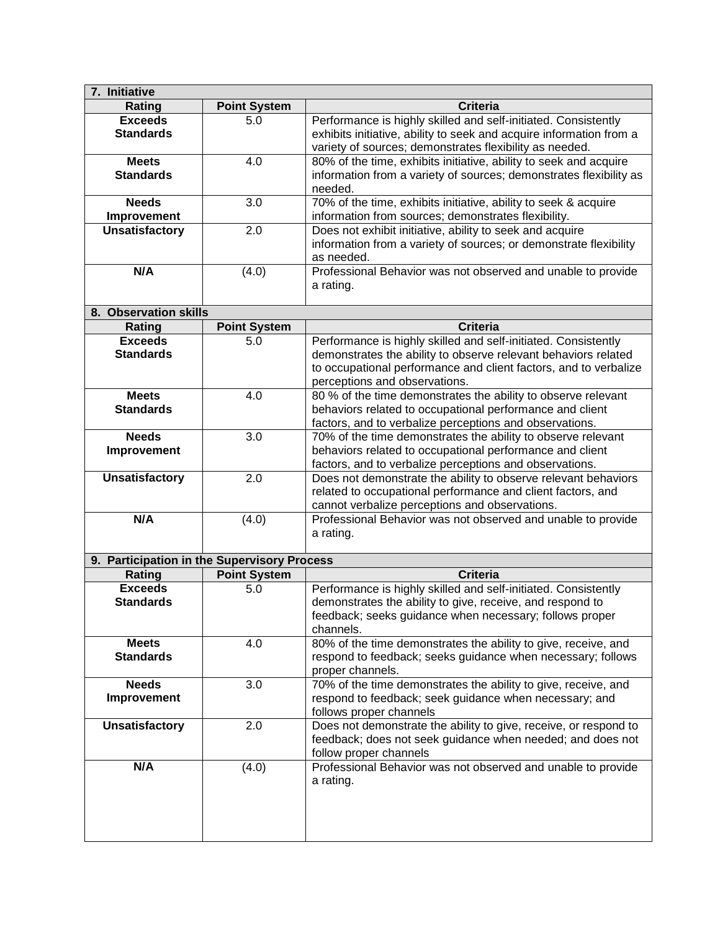| 7. Initiative                               |                     |                                                                     |
|---------------------------------------------|---------------------|---------------------------------------------------------------------|
| Rating                                      | <b>Point System</b> | Criteria                                                            |
| <b>Exceeds</b>                              | 5.0                 | Performance is highly skilled and self-initiated. Consistently      |
| <b>Standards</b>                            |                     | exhibits initiative, ability to seek and acquire information from a |
|                                             |                     | variety of sources; demonstrates flexibility as needed.             |
| <b>Meets</b>                                | 4.0                 | 80% of the time, exhibits initiative, ability to seek and acquire   |
| <b>Standards</b>                            |                     | information from a variety of sources; demonstrates flexibility as  |
|                                             |                     | needed.                                                             |
| <b>Needs</b>                                | 3.0                 | 70% of the time, exhibits initiative, ability to seek & acquire     |
| Improvement                                 |                     | information from sources; demonstrates flexibility.                 |
| <b>Unsatisfactory</b>                       | 2.0                 | Does not exhibit initiative, ability to seek and acquire            |
|                                             |                     | information from a variety of sources; or demonstrate flexibility   |
|                                             |                     | as needed.                                                          |
| N/A                                         | (4.0)               | Professional Behavior was not observed and unable to provide        |
|                                             |                     | a rating.                                                           |
|                                             |                     |                                                                     |
| 8. Observation skills                       |                     |                                                                     |
| Rating                                      | <b>Point System</b> | <b>Criteria</b>                                                     |
| <b>Exceeds</b>                              | 5.0                 | Performance is highly skilled and self-initiated. Consistently      |
| <b>Standards</b>                            |                     | demonstrates the ability to observe relevant behaviors related      |
|                                             |                     | to occupational performance and client factors, and to verbalize    |
|                                             |                     | perceptions and observations.                                       |
| <b>Meets</b>                                | 4.0                 | 80 % of the time demonstrates the ability to observe relevant       |
| <b>Standards</b>                            |                     |                                                                     |
|                                             |                     | behaviors related to occupational performance and client            |
|                                             | 3.0                 | factors, and to verbalize perceptions and observations.             |
| <b>Needs</b>                                |                     | 70% of the time demonstrates the ability to observe relevant        |
| Improvement                                 |                     | behaviors related to occupational performance and client            |
|                                             |                     | factors, and to verbalize perceptions and observations.             |
| <b>Unsatisfactory</b>                       | 2.0                 | Does not demonstrate the ability to observe relevant behaviors      |
|                                             |                     | related to occupational performance and client factors, and         |
|                                             |                     | cannot verbalize perceptions and observations.                      |
| N/A                                         | (4.0)               | Professional Behavior was not observed and unable to provide        |
|                                             |                     | a rating.                                                           |
|                                             |                     |                                                                     |
| 9. Participation in the Supervisory Process |                     |                                                                     |
| Rating                                      | <b>Point System</b> | <b>Criteria</b>                                                     |
| <b>Exceeds</b>                              | 5.0                 | Performance is highly skilled and self-initiated. Consistently      |
| <b>Standards</b>                            |                     | demonstrates the ability to give, receive, and respond to           |
|                                             |                     | feedback; seeks guidance when necessary; follows proper             |
|                                             |                     | channels.                                                           |
| <b>Meets</b>                                | 4.0                 | 80% of the time demonstrates the ability to give, receive, and      |
| <b>Standards</b>                            |                     | respond to feedback; seeks guidance when necessary; follows         |
|                                             |                     | proper channels.                                                    |
| <b>Needs</b>                                | 3.0                 | 70% of the time demonstrates the ability to give, receive, and      |
| Improvement                                 |                     | respond to feedback; seek guidance when necessary; and              |
|                                             |                     | follows proper channels                                             |
| <b>Unsatisfactory</b>                       | 2.0                 | Does not demonstrate the ability to give, receive, or respond to    |
|                                             |                     | feedback; does not seek guidance when needed; and does not          |
|                                             |                     | follow proper channels                                              |
| N/A                                         | (4.0)               | Professional Behavior was not observed and unable to provide        |
|                                             |                     | a rating.                                                           |
|                                             |                     |                                                                     |
|                                             |                     |                                                                     |
|                                             |                     |                                                                     |
|                                             |                     |                                                                     |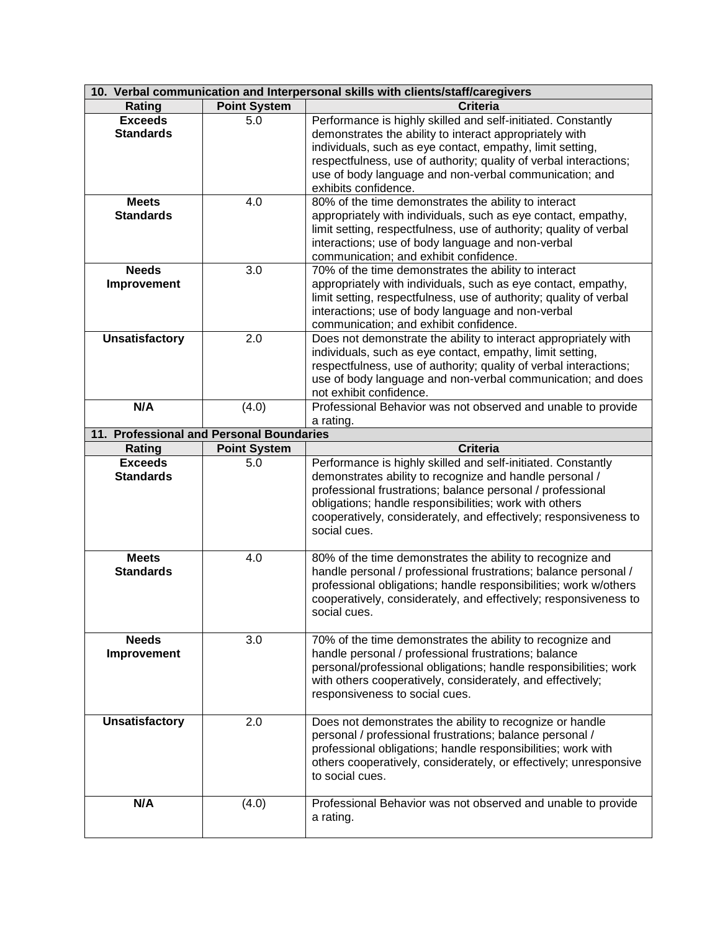| 10. Verbal communication and Interpersonal skills with clients/staff/caregivers |                     |                                                                                         |
|---------------------------------------------------------------------------------|---------------------|-----------------------------------------------------------------------------------------|
| Rating                                                                          | <b>Point System</b> | <b>Criteria</b>                                                                         |
| <b>Exceeds</b>                                                                  | 5.0                 | Performance is highly skilled and self-initiated. Constantly                            |
| <b>Standards</b>                                                                |                     | demonstrates the ability to interact appropriately with                                 |
|                                                                                 |                     | individuals, such as eye contact, empathy, limit setting,                               |
|                                                                                 |                     | respectfulness, use of authority; quality of verbal interactions;                       |
|                                                                                 |                     | use of body language and non-verbal communication; and                                  |
|                                                                                 |                     | exhibits confidence.                                                                    |
| <b>Meets</b>                                                                    | 4.0                 | 80% of the time demonstrates the ability to interact                                    |
| <b>Standards</b>                                                                |                     | appropriately with individuals, such as eye contact, empathy,                           |
|                                                                                 |                     | limit setting, respectfulness, use of authority; quality of verbal                      |
|                                                                                 |                     | interactions; use of body language and non-verbal                                       |
|                                                                                 |                     | communication; and exhibit confidence.                                                  |
| <b>Needs</b>                                                                    | 3.0                 | 70% of the time demonstrates the ability to interact                                    |
| Improvement                                                                     |                     | appropriately with individuals, such as eye contact, empathy,                           |
|                                                                                 |                     | limit setting, respectfulness, use of authority; quality of verbal                      |
|                                                                                 |                     | interactions; use of body language and non-verbal                                       |
|                                                                                 |                     | communication; and exhibit confidence.                                                  |
| <b>Unsatisfactory</b>                                                           | 2.0                 | Does not demonstrate the ability to interact appropriately with                         |
|                                                                                 |                     | individuals, such as eye contact, empathy, limit setting,                               |
|                                                                                 |                     | respectfulness, use of authority; quality of verbal interactions;                       |
|                                                                                 |                     | use of body language and non-verbal communication; and does                             |
| N/A                                                                             |                     | not exhibit confidence.<br>Professional Behavior was not observed and unable to provide |
|                                                                                 | (4.0)               | a rating.                                                                               |
| 11. Professional and Personal Boundaries                                        |                     |                                                                                         |
| Rating                                                                          | <b>Point System</b> | <b>Criteria</b>                                                                         |
| <b>Exceeds</b>                                                                  | 5.0                 | Performance is highly skilled and self-initiated. Constantly                            |
| <b>Standards</b>                                                                |                     | demonstrates ability to recognize and handle personal /                                 |
|                                                                                 |                     | professional frustrations; balance personal / professional                              |
|                                                                                 |                     | obligations; handle responsibilities; work with others                                  |
|                                                                                 |                     | cooperatively, considerately, and effectively; responsiveness to                        |
|                                                                                 |                     | social cues.                                                                            |
|                                                                                 |                     |                                                                                         |
| <b>Meets</b>                                                                    | 4.0                 | 80% of the time demonstrates the ability to recognize and                               |
| <b>Standards</b>                                                                |                     | handle personal / professional frustrations; balance personal /                         |
|                                                                                 |                     | professional obligations; handle responsibilities; work w/others                        |
|                                                                                 |                     | cooperatively, considerately, and effectively; responsiveness to                        |
|                                                                                 |                     | social cues.                                                                            |
|                                                                                 |                     |                                                                                         |
| <b>Needs</b>                                                                    | 3.0                 | 70% of the time demonstrates the ability to recognize and                               |
| Improvement                                                                     |                     | handle personal / professional frustrations; balance                                    |
|                                                                                 |                     | personal/professional obligations; handle responsibilities; work                        |
|                                                                                 |                     | with others cooperatively, considerately, and effectively;                              |
|                                                                                 |                     | responsiveness to social cues.                                                          |
| <b>Unsatisfactory</b>                                                           | 2.0                 | Does not demonstrates the ability to recognize or handle                                |
|                                                                                 |                     | personal / professional frustrations; balance personal /                                |
|                                                                                 |                     | professional obligations; handle responsibilities; work with                            |
|                                                                                 |                     | others cooperatively, considerately, or effectively; unresponsive                       |
|                                                                                 |                     | to social cues.                                                                         |
|                                                                                 |                     |                                                                                         |
| N/A                                                                             | (4.0)               | Professional Behavior was not observed and unable to provide                            |
|                                                                                 |                     | a rating.                                                                               |
|                                                                                 |                     |                                                                                         |